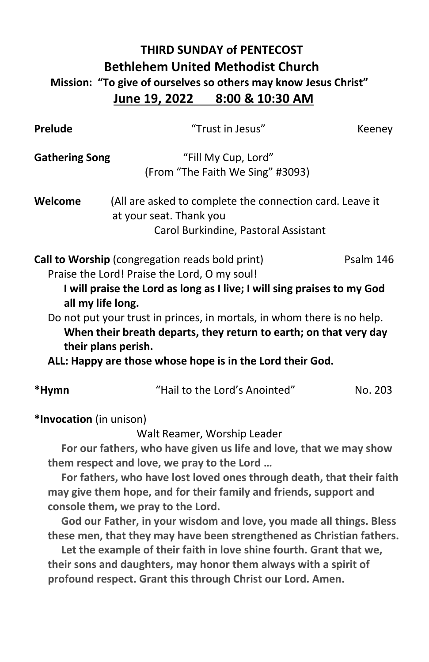## **THIRD SUNDAY of PENTECOST Bethlehem United Methodist Church Mission: "To give of ourselves so others may know Jesus Christ" June 19, 2022 8:00 & 10:30 AM**

| Prelude                 | "Trust in Jesus"                                                                                                                             | Keeney    |
|-------------------------|----------------------------------------------------------------------------------------------------------------------------------------------|-----------|
| <b>Gathering Song</b>   | "Fill My Cup, Lord"<br>(From "The Faith We Sing" #3093)                                                                                      |           |
| Welcome                 | (All are asked to complete the connection card. Leave it<br>at your seat. Thank you<br>Carol Burkindine, Pastoral Assistant                  |           |
|                         | Call to Worship (congregation reads bold print)                                                                                              | Psalm 146 |
|                         | Praise the Lord! Praise the Lord, O my soul!                                                                                                 |           |
| all my life long.       | I will praise the Lord as long as I live; I will sing praises to my God                                                                      |           |
| their plans perish.     | Do not put your trust in princes, in mortals, in whom there is no help.<br>When their breath departs, they return to earth; on that very day |           |
|                         | ALL: Happy are those whose hope is in the Lord their God.                                                                                    |           |
| *Hymn                   | "Hail to the Lord's Anointed"                                                                                                                | No. 203   |
| *Invocation (in unison) |                                                                                                                                              |           |
|                         | Walt Reamer, Worship Leader                                                                                                                  |           |
|                         | For our fathers, who have given us life and love, that we may show                                                                           |           |
|                         | them respect and love, we pray to the Lord                                                                                                   |           |
|                         | For fathers, who have lost loved ones through death, that their faith                                                                        |           |
|                         | may give them hope, and for their family and friends, support and                                                                            |           |
|                         | console them, we pray to the Lord.                                                                                                           |           |
|                         | God our Father, in your wisdom and love, you made all things. Bless                                                                          |           |
|                         | these men, that they may have been strengthened as Christian fathers.<br>Let the example of their faith in love shine fourth. Grant that we, |           |
|                         | their sons and daughters, may honor them always with a spirit of                                                                             |           |

 **profound respect. Grant this through Christ our Lord. Amen.**